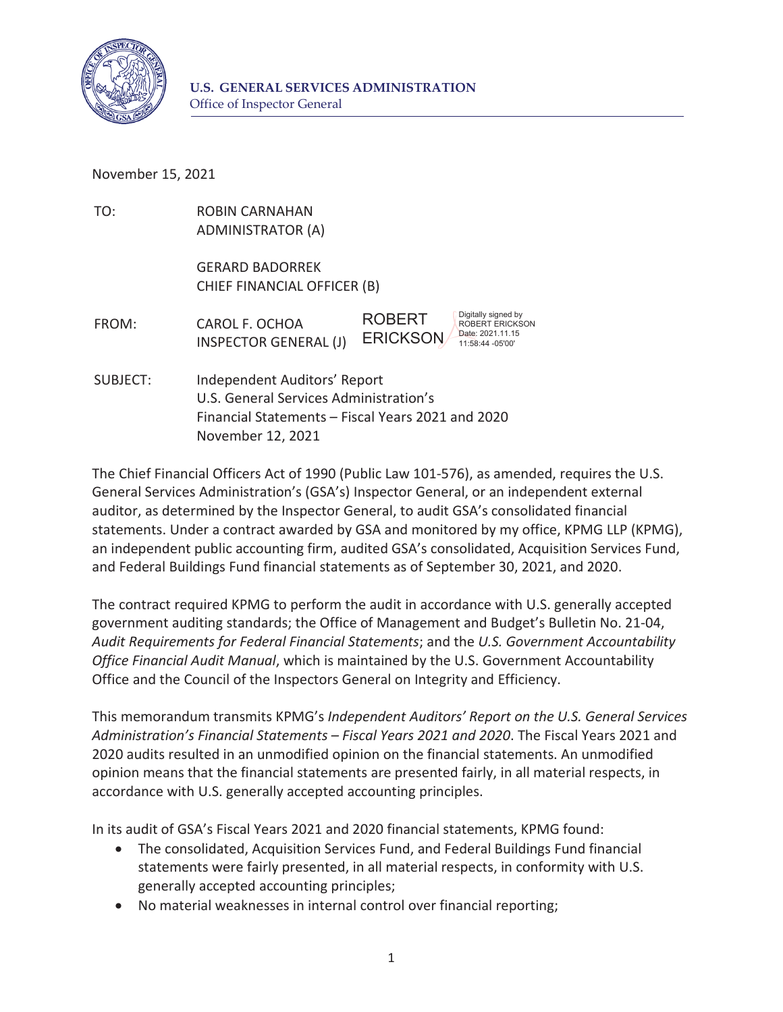

November 15, 2021

| TO:      | <b>ROBIN CARNAHAN</b><br><b>ADMINISTRATOR (A)</b>                                                                                                |                                                                                                                           |
|----------|--------------------------------------------------------------------------------------------------------------------------------------------------|---------------------------------------------------------------------------------------------------------------------------|
|          | <b>GERARD BADORREK</b><br>CHIEF FINANCIAL OFFICER (B)                                                                                            |                                                                                                                           |
| FROM:    | CAROL F. OCHOA<br><b>INSPECTOR GENERAL (J)</b>                                                                                                   | Digitally signed by<br><b>ROBERT</b><br><b>ROBERT ERICKSON</b><br>Date: 2021.11.15<br><b>ERICKSON</b><br>11:58:44 -05'00' |
| SUBJECT: | Independent Auditors' Report<br>U.S. General Services Administration's<br>Financial Statements - Fiscal Years 2021 and 2020<br>November 12, 2021 |                                                                                                                           |

 The Chief Financial Officers Act of 1990 (Public Law 101-576), as amended, requires the U.S. auditor, as determined by the Inspector General, to audit GSA's consolidated financial an independent public accounting firm, audited GSA's consolidated, Acquisition Services Fund, and Federal Buildings Fund financial statements as of September 30, 2021, and 2020. General Services Administration's (GSA's) Inspector General, or an independent external statements. Under a contract awarded by GSA and monitored by my office, KPMG LLP (KPMG),

 government auditing standards; the Office of Management and Budget's Bulletin No. 21-04, The contract required KPMG to perform the audit in accordance with U.S. generally accepted *Audit Requirements for Federal Financial Statements*; and the *U.S. Government Accountability Office Financial Audit Manual*, which is maintained by the U.S. Government Accountability Office and the Council of the Inspectors General on Integrity and Efficiency.

 This memorandum transmits KPMG's *Independent Auditors' Report on the U.S. General Services* opinion means that the financial statements are presented fairly, in all material respects, in accordance with U.S. generally accepted accounting principles. *Administration's Financial Statements – Fiscal Years 2021 and 2020*. The Fiscal Years 2021 and 2020 audits resulted in an unmodified opinion on the financial statements. An unmodified

In its audit of GSA's Fiscal Years 2021 and 2020 financial statements, KPMG found:

- generally accepted accounting principles; • The consolidated, Acquisition Services Fund, and Federal Buildings Fund financial statements were fairly presented, in all material respects, in conformity with U.S.
- No material weaknesses in internal control over financial reporting;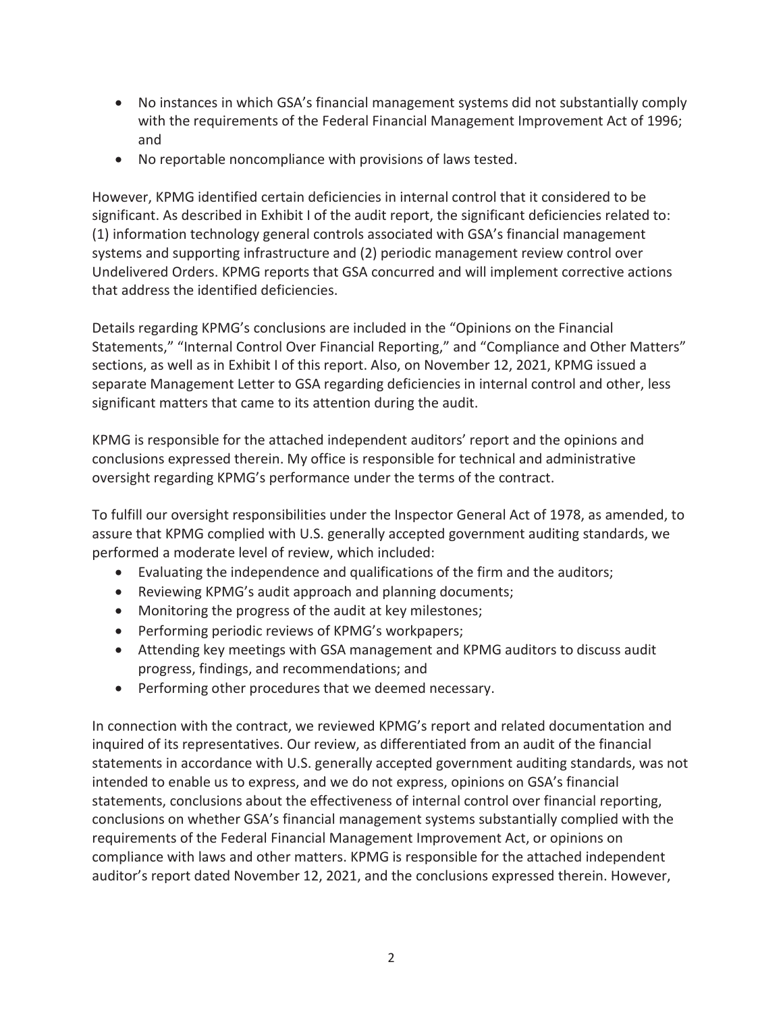- No instances in which GSA's financial management systems did not substantially comply with the requirements of the Federal Financial Management Improvement Act of 1996; and
- No reportable noncompliance with provisions of laws tested.

 However, KPMG identified certain deficiencies in internal control that it considered to be significant. As described in Exhibit I of the audit report, the significant deficiencies related to: systems and supporting infrastructure and (2) periodic management review control over that address the identified deficiencies. (1) information technology general controls associated with GSA's financial management Undelivered Orders. KPMG reports that GSA concurred and will implement corrective actions

 Details regarding KPMG's conclusions are included in the "Opinions on the Financial sections, as well as in Exhibit I of this report. Also, on November 12, 2021, KPMG issued a separate Management Letter to GSA regarding deficiencies in internal control and other, less significant matters that came to its attention during the audit. Statements," "Internal Control Over Financial Reporting," and "Compliance and Other Matters"

 KPMG is responsible for the attached independent auditors' report and the opinions and conclusions expressed therein. My office is responsible for technical and administrative oversight regarding KPMG's performance under the terms of the contract.

 To fulfill our oversight responsibilities under the Inspector General Act of 1978, as amended, to assure that KPMG complied with U.S. generally accepted government auditing standards, we performed a moderate level of review, which included:

- Evaluating the independence and qualifications of the firm and the auditors;
- Reviewing KPMG's audit approach and planning documents;
- Monitoring the progress of the audit at key milestones;
- Performing periodic reviews of KPMG's workpapers;
- Attending key meetings with GSA management and KPMG auditors to discuss audit progress, findings, and recommendations; and
- Performing other procedures that we deemed necessary.

 inquired of its representatives. Our review, as differentiated from an audit of the financial statements in accordance with U.S. generally accepted government auditing standards, was not conclusions on whether GSA's financial management systems substantially complied with the compliance with laws and other matters. KPMG is responsible for the attached independent In connection with the contract, we reviewed KPMG's report and related documentation and intended to enable us to express, and we do not express, opinions on GSA's financial statements, conclusions about the effectiveness of internal control over financial reporting, requirements of the Federal Financial Management Improvement Act, or opinions on auditor's report dated November 12, 2021, and the conclusions expressed therein. However,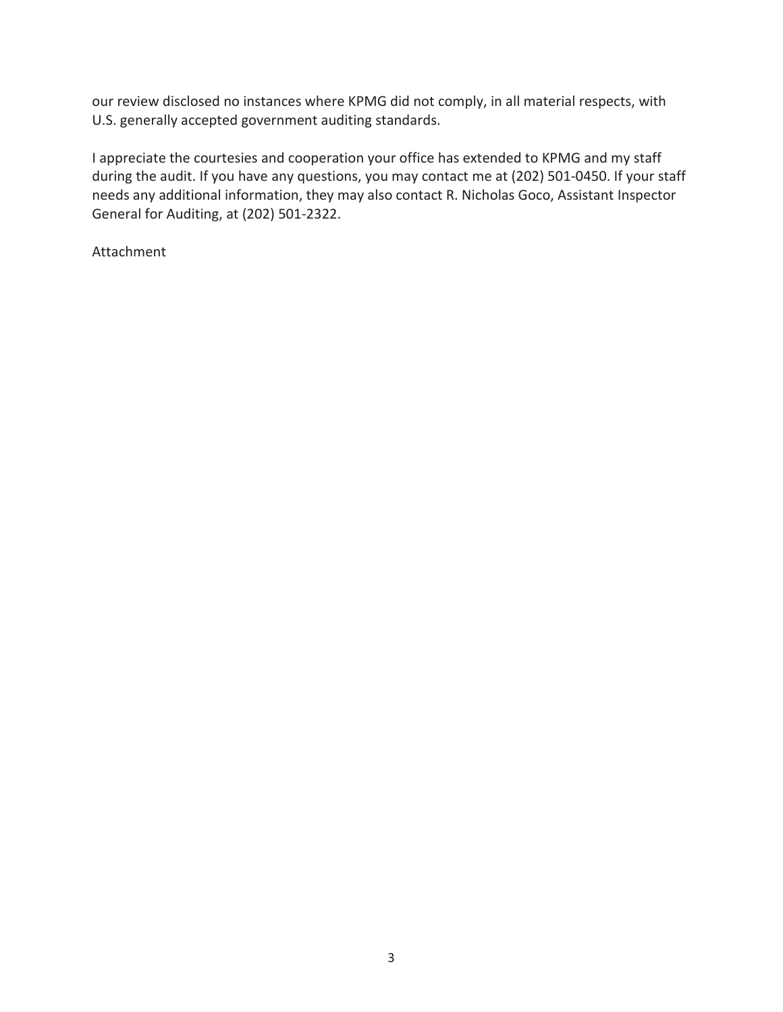our review disclosed no instances where KPMG did not comply, in all material respects, with U.S. generally accepted government auditing standards.

 I appreciate the courtesies and cooperation your office has extended to KPMG and my staff during the audit. If you have any questions, you may contact me at (202) 501-0450. If your staff needs any additional information, they may also contact R. Nicholas Goco, Assistant Inspector General for Auditing, at (202) 501-2322.

Attachment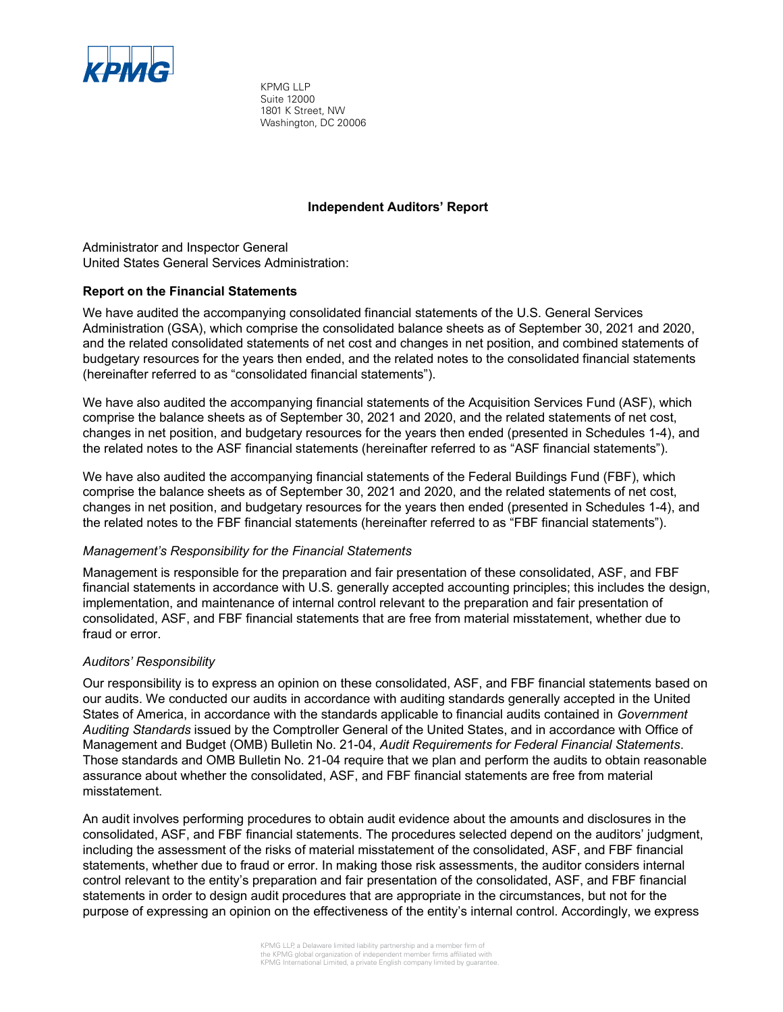

 1801 K Street, NW Washington, DC 20006 KPMG LLP Suite 12000

## **Independent Auditors' Report**

 Administrator and Inspector General United States General Services Administration:

### Report on the Financial Statements

 We have audited the accompanying consolidated financial statements of the U.S. General Services Administration (GSA), which comprise the consolidated balance sheets as of September 30, 2021 and 2020, and the related consolidated statements of net cost and changes in net position, and combined statements of budgetary resources for the years then ended, and the related notes to the consolidated financial statements (hereinafter referred to as "consolidated financial statements").

 We have also audited the accompanying financial statements of the Acquisition Services Fund (ASF), which comprise the balance sheets as of September 30, 2021 and 2020, and the related statements of net cost, changes in net position, and budgetary resources for the years then ended (presented in Schedules 1-4), and the related notes to the ASF financial statements (hereinafter referred to as "ASF financial statements").

 We have also audited the accompanying financial statements of the Federal Buildings Fund (FBF), which comprise the balance sheets as of September 30, 2021 and 2020, and the related statements of net cost, changes in net position, and budgetary resources for the years then ended (presented in Schedules 1-4), and the related notes to the FBF financial statements (hereinafter referred to as "FBF financial statements").

### Management's Responsibility for the Financial Statements

 Management is responsible for the preparation and fair presentation of these consolidated, ASF, and FBF financial statements in accordance with U.S. generally accepted accounting principles; this includes the design, implementation, and maintenance of internal control relevant to the preparation and fair presentation of consolidated, ASF, and FBF financial statements that are free from material misstatement, whether due to fraud or error.

## Auditors' Responsibility

 Our responsibility is to express an opinion on these consolidated, ASF, and FBF financial statements based on our audits. We conducted our audits in accordance with auditing standards generally accepted in the United States of America, in accordance with the standards applicable to financial audits contained in *Government* A*uditing Standards* issued by the Comptroller General of the United States, and in accordance with Office of Management and Budget (OMB) Bulletin No. 21-04, Audit Requirements for Federal Financial Statements. Those standards and OMB Bulletin No. 21-04 require that we plan and perform the audits to obtain reasonable assurance about whether the consolidated, ASF, and FBF financial statements are free from material misstatement.

 An audit involves performing procedures to obtain audit evidence about the amounts and disclosures in the consolidated, ASF, and FBF financial statements. The procedures selected depend on the auditors' judgment, including the assessment of the risks of material misstatement of the consolidated, ASF, and FBF financial statements, whether due to fraud or error. In making those risk assessments, the auditor considers internal control relevant to the entity's preparation and fair presentation of the consolidated, ASF, and FBF financial statements in order to design audit procedures that are appropriate in the circumstances, but not for the purpose of expressing an opinion on the effectiveness of the entity's internal control. Accordingly, we express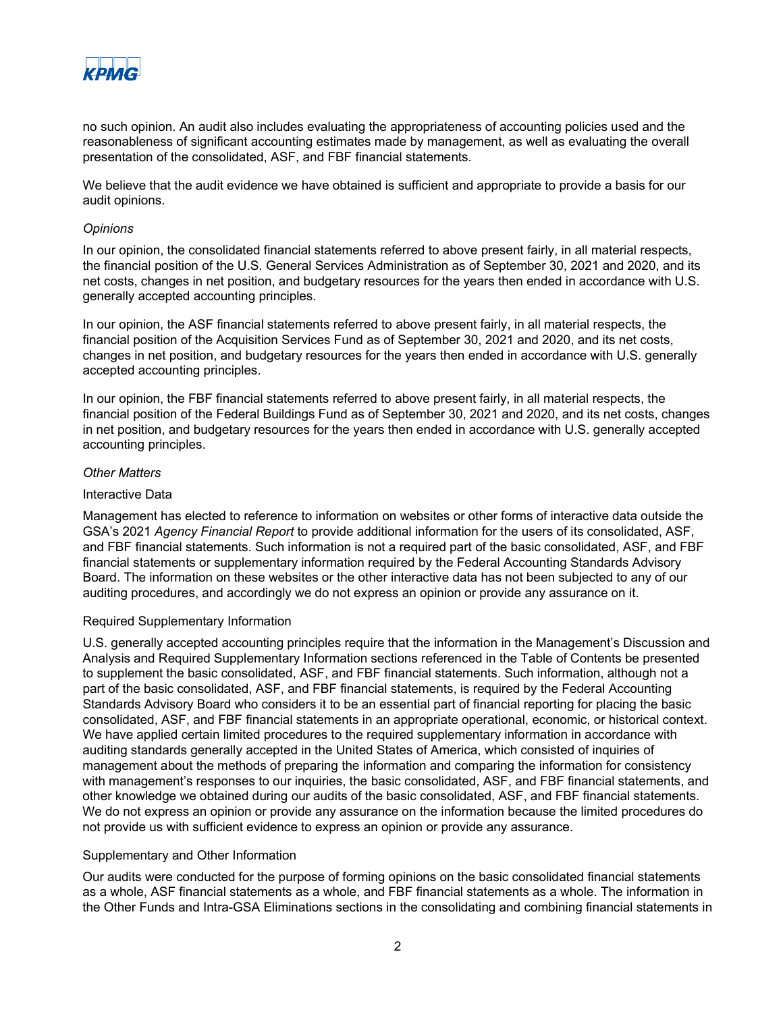

 no such opinion. An audit also includes evaluating the appropriateness of accounting policies used and the reasonableness of significant accounting estimates made by management, as well as evaluating the overall presentation of the consolidated, ASF, and FBF financial statements.

 We believe that the audit evidence we have obtained is sufficient and appropriate to provide a basis for our audit opinions.

#### **Opinions**

 In our opinion, the consolidated financial statements referred to above present fairly, in all material respects, the financial position of the U.S. General Services Administration as of September 30, 2021 and 2020, and its net costs, changes in net position, and budgetary resources for the years then ended in accordance with U.S. generally accepted accounting principles.

 In our opinion, the ASF financial statements referred to above present fairly, in all material respects, the financial position of the Acquisition Services Fund as of September 30, 2021 and 2020, and its net costs, changes in net position, and budgetary resources for the years then ended in accordance with U.S. generally accepted accounting principles.

 In our opinion, the FBF financial statements referred to above present fairly, in all material respects, the financial position of the Federal Buildings Fund as of September 30, 2021 and 2020, and its net costs, changes in net position, and budgetary resources for the years then ended in accordance with U.S. generally accepted accounting principles.

#### Other Matters

#### Interactive Data

 Management has elected to reference to information on websites or other forms of interactive data outside the GSA's 2021 Agency Financial Report to provide additional information for the users of its consolidated, ASF, and FBF financial statements. Such information is not a required part of the basic consolidated, ASF, and FBF financial statements or supplementary information required by the Federal Accounting Standards Advisory Board. The information on these websites or the other interactive data has not been subjected to any of our auditing procedures, and accordingly we do not express an opinion or provide any assurance on it.

#### Required Supplementary Information

U.S. generally accepted accounting principles require that the information in the Management's Discussion and Analysis and Required Supplementary Information sections referenced in the Table of Contents be presented to supplement the basic consolidated, ASF, and FBF financial statements. Such information, although not a part of the basic consolidated, ASF, and FBF financial statements, is required by the Federal Accounting Standards Advisory Board who considers it to be an essential part of financial reporting for placing the basic consolidated, ASF, and FBF financial statements in an appropriate operational, economic, or historical context. We have applied certain limited procedures to the required supplementary information in accordance with auditing standards generally accepted in the United States of America, which consisted of inquiries of management about the methods of preparing the information and comparing the information for consistency with management's responses to our inquiries, the basic consolidated, ASF, and FBF financial statements, and other knowledge we obtained during our audits of the basic consolidated, ASF, and FBF financial statements. We do not express an opinion or provide any assurance on the information because the limited procedures do not provide us with sufficient evidence to express an opinion or provide any assurance.

### Supplementary and Other Information

 Our audits were conducted for the purpose of forming opinions on the basic consolidated financial statements as a whole, ASF financial statements as a whole, and FBF financial statements as a whole. The information in the Other Funds and Intra-GSA Eliminations sections in the consolidating and combining financial statements in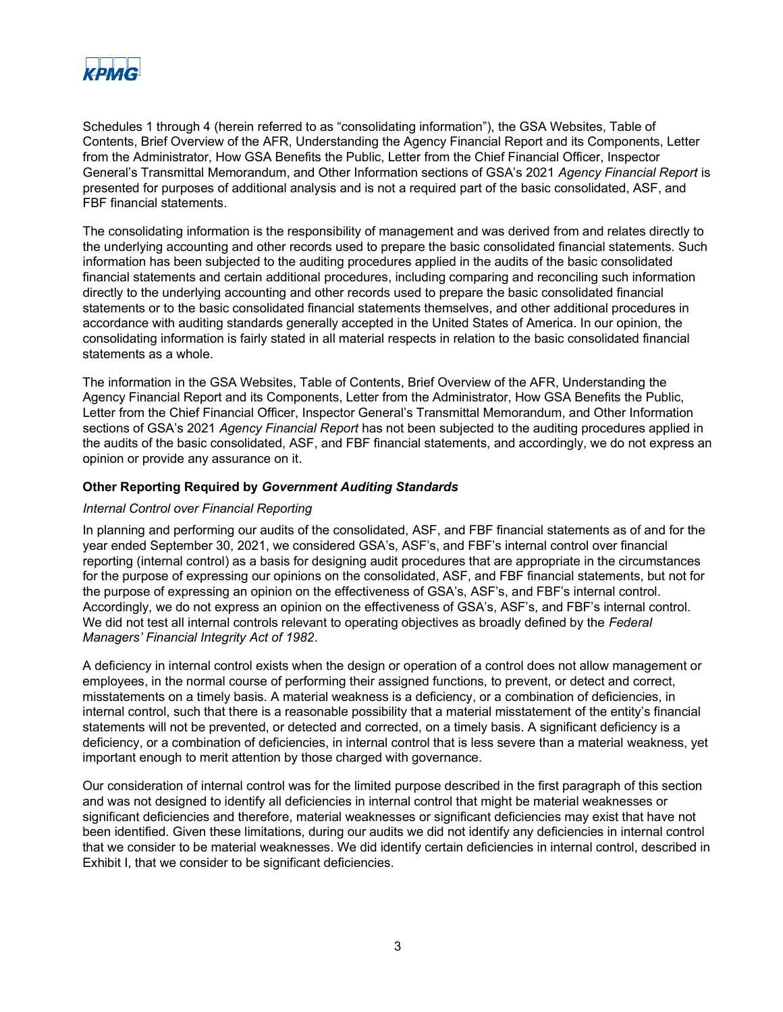

Schedules 1 through 4 (herein referred to as "consolidating information"), the GSA Websites, Table of Contents, Brief Overview of the AFR, Understanding the Agency Financial Report and its Components, Letter from the Administrator, How GSA Benefits the Public, Letter from the Chief Financial Officer, Inspector General's Transmittal Memorandum, and Other Information sections of GSA's 2021 Agency Financial Report is presented for purposes of additional analysis and is not a required part of the basic consolidated, ASF, and FBF financial statements.

 The consolidating information is the responsibility of management and was derived from and relates directly to the underlying accounting and other records used to prepare the basic consolidated financial statements. Such information has been subjected to the auditing procedures applied in the audits of the basic consolidated financial statements and certain additional procedures, including comparing and reconciling such information directly to the underlying accounting and other records used to prepare the basic consolidated financial statements or to the basic consolidated financial statements themselves, and other additional procedures in accordance with auditing standards generally accepted in the United States of America. In our opinion, the consolidating information is fairly stated in all material respects in relation to the basic consolidated financial statements as a whole.

 The information in the GSA Websites, Table of Contents, Brief Overview of the AFR, Understanding the Agency Financial Report and its Components, Letter from the Administrator, How GSA Benefits the Public, Letter from the Chief Financial Officer, Inspector General's Transmittal Memorandum, and Other Information sections of GSA's 2021 *Agency Financial Report* has not been subjected to the auditing procedures applied in the audits of the basic consolidated, ASF, and FBF financial statements, and accordingly, we do not express an opinion or provide any assurance on it.

#### Other Reporting Required by Government Auditing Standards

### Internal Control over Financial Reporting

 In planning and performing our audits of the consolidated, ASF, and FBF financial statements as of and for the year ended September 30, 2021, we considered GSA's, ASF's, and FBF's internal control over financial reporting (internal control) as a basis for designing audit procedures that are appropriate in the circumstances for the purpose of expressing our opinions on the consolidated, ASF, and FBF financial statements, but not for the purpose of expressing an opinion on the effectiveness of GSA's, ASF's, and FBF's internal control. Accordingly, we do not express an opinion on the effectiveness of GSA's, ASF's, and FBF's internal control. We did not test all internal controls relevant to operating objectives as broadly defined by the *Federal* Managers' Financial Integrity Act of 1982.

 A deficiency in internal control exists when the design or operation of a control does not allow management or employees, in the normal course of performing their assigned functions, to prevent, or detect and correct, misstatements on a timely basis. A material weakness is a deficiency, or a combination of deficiencies, in internal control, such that there is a reasonable possibility that a material misstatement of the entity's financial statements will not be prevented, or detected and corrected, on a timely basis. A significant deficiency is a deficiency, or a combination of deficiencies, in internal control that is less severe than a material weakness, yet important enough to merit attention by those charged with governance.

 Our consideration of internal control was for the limited purpose described in the first paragraph of this section and was not designed to identify all deficiencies in internal control that might be material weaknesses or significant deficiencies and therefore, material weaknesses or significant deficiencies may exist that have not been identified. Given these limitations, during our audits we did not identify any deficiencies in internal control that we consider to be material weaknesses. We did identify certain deficiencies in internal control, described in Exhibit I, that we consider to be significant deficiencies.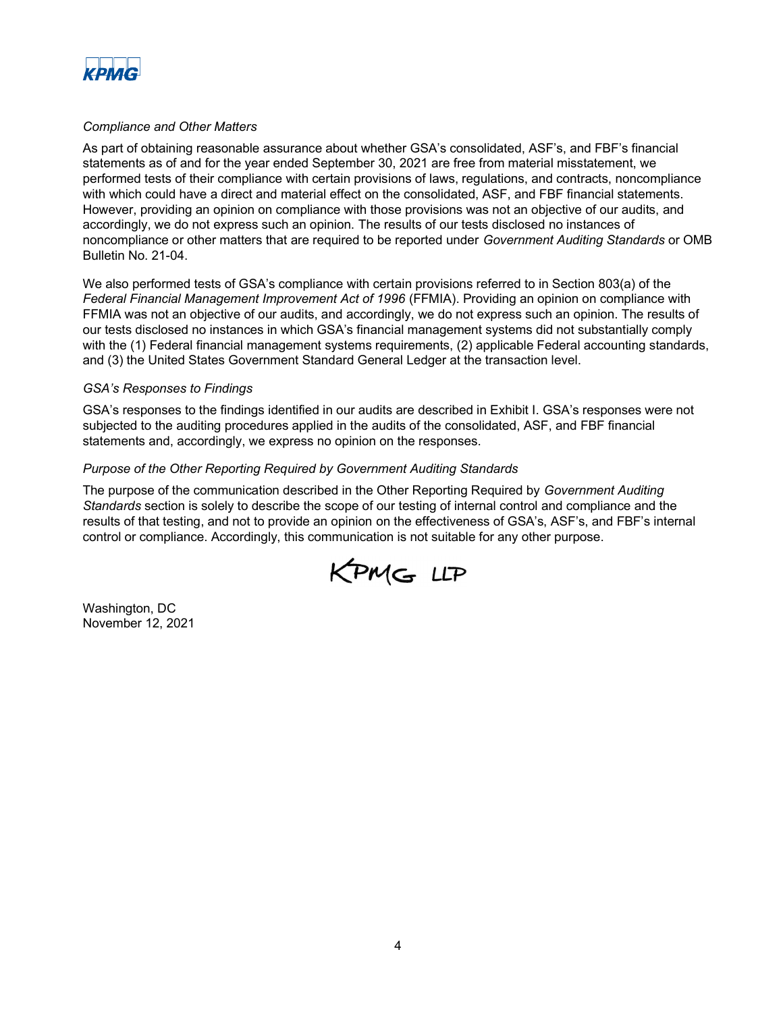

### Compliance and Other Matters

As part of obtaining reasonable assurance about whether GSA's consolidated, ASF's, and FBF's financial statements as of and for the year ended September 30, 2021 are free from material misstatement, we performed tests of their compliance with certain provisions of laws, regulations, and contracts, noncompliance with which could have a direct and material effect on the consolidated, ASF, and FBF financial statements. However, providing an opinion on compliance with those provisions was not an objective of our audits, and accordingly, we do not express such an opinion. The results of our tests disclosed no instances of noncompliance or other matters that are required to be reported under Government Auditing Standards or OMB Bulletin No. 21-04.

We also performed tests of GSA's compliance with certain provisions referred to in Section 803(a) of the Federal Financial Management Improvement Act of 1996 (FFMIA). Providing an opinion on compliance with FFMIA was not an objective of our audits, and accordingly, we do not express such an opinion. The results of our tests disclosed no instances in which GSA's financial management systems did not substantially comply with the (1) Federal financial management systems requirements, (2) applicable Federal accounting standards, and (3) the United States Government Standard General Ledger at the transaction level.

#### GSA's Responses to Findings

GSA's responses to the findings identified in our audits are described in Exhibit I. GSA's responses were not subjected to the auditing procedures applied in the audits of the consolidated, ASF, and FBF financial statements and, accordingly, we express no opinion on the responses.

### Purpose of the Other Reporting Required by Government Auditing Standards

The purpose of the communication described in the Other Reporting Required by *Government Auditing*  Standards section is solely to describe the scope of our testing of internal control and compliance and the results of that testing, and not to provide an opinion on the effectiveness of GSA's, ASF's, and FBF's internal control or compliance. Accordingly, this communication is not suitable for any other purpose.



 Washington, DC November 12, 2021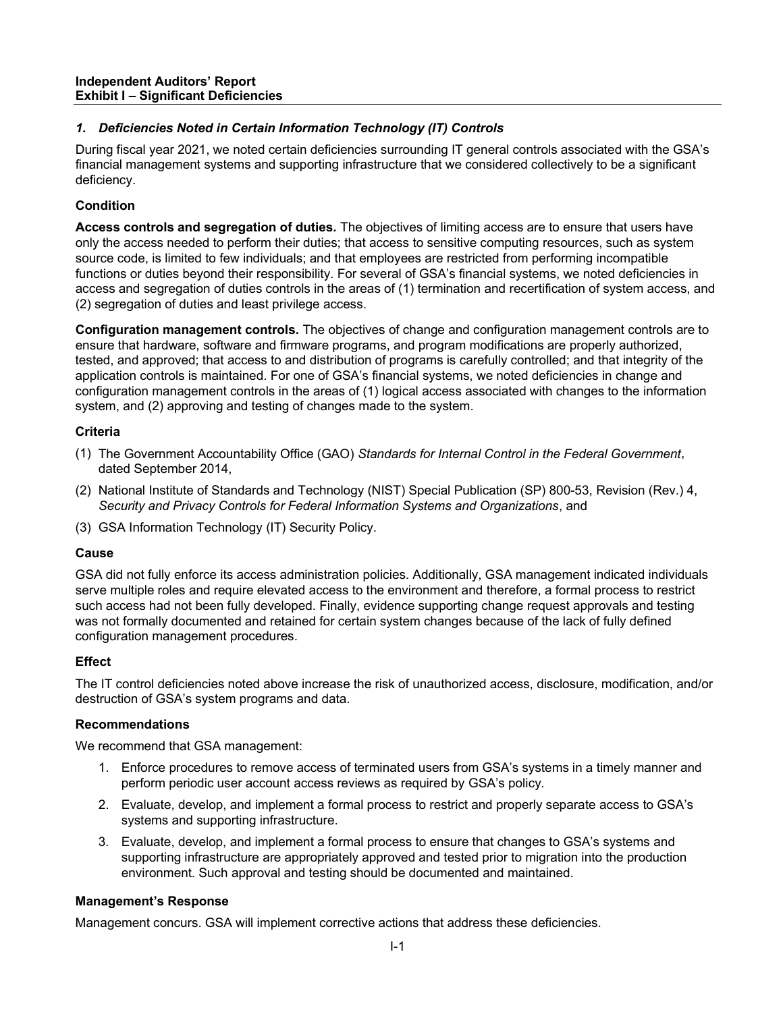# 1. Deficiencies Noted in Certain Information Technology (IT) Controls

During fiscal year 2021, we noted certain deficiencies surrounding IT general controls associated with the GSA's financial management systems and supporting infrastructure that we considered collectively to be a significant deficiency.

# Condition

Access controls and segregation of duties. The objectives of limiting access are to ensure that users have only the access needed to perform their duties; that access to sensitive computing resources, such as system source code, is limited to few individuals; and that employees are restricted from performing incompatible functions or duties beyond their responsibility. For several of GSA's financial systems, we noted deficiencies in access and segregation of duties controls in the areas of (1) termination and recertification of system access, and (2) segregation of duties and least privilege access.

**Configuration management controls.** The objectives of change and configuration management controls are to ensure that hardware, software and firmware programs, and program modifications are properly authorized, tested, and approved; that access to and distribution of programs is carefully controlled; and that integrity of the application controls is maintained. For one of GSA's financial systems, we noted deficiencies in change and configuration management controls in the areas of (1) logical access associated with changes to the information system, and (2) approving and testing of changes made to the system.

## **Criteria**

- (1) The Government Accountability Office (GAO) Standards for Internal Control in the Federal Government, dated September 2014,
- (2) National Institute of Standards and Technology (NIST) Special Publication (SP) 800-53, Revision (Rev.) 4, Security and Privacy Controls for Federal Information Systems and Organizations, and
- (3) GSA Information Technology (IT) Security Policy.

## Cause

 GSA did not fully enforce its access administration policies. Additionally, GSA management indicated individuals serve multiple roles and require elevated access to the environment and therefore, a formal process to restrict such access had not been fully developed. Finally, evidence supporting change request approvals and testing was not formally documented and retained for certain system changes because of the lack of fully defined configuration management procedures.

# **Effect**

 The IT control deficiencies noted above increase the risk of unauthorized access, disclosure, modification, and/or destruction of GSA's system programs and data.

## Recommendations

We recommend that GSA management:

- 1. Enforce procedures to remove access of terminated users from GSA's systems in a timely manner and perform periodic user account access reviews as required by GSA's policy.
- 2. Evaluate, develop, and implement a formal process to restrict and properly separate access to GSA's systems and supporting infrastructure.
- supporting infrastructure are appropriately approved and tested prior to migration into the production environment. Such approval and testing should be documented and maintained. 3. Evaluate, develop, and implement a formal process to ensure that changes to GSA's systems and

## **Management's Response**

Management concurs. GSA will implement corrective actions that address these deficiencies.